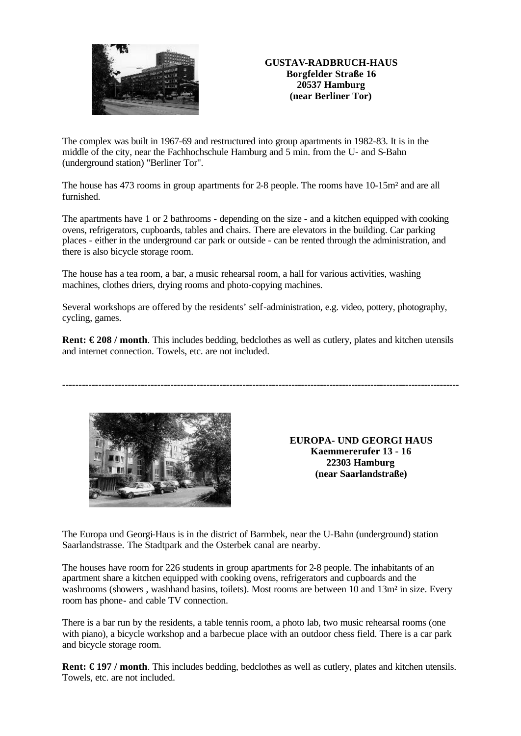

## **GUSTAV-RADBRUCH-HAUS Borgfelder Straße 16 20537 Hamburg (near Berliner Tor)**

The complex was built in 1967-69 and restructured into group apartments in 1982-83. It is in the middle of the city, near the Fachhochschule Hamburg and 5 min. from the U- and S-Bahn (underground station) "Berliner Tor".

The house has 473 rooms in group apartments for 2-8 people. The rooms have 10-15m<sup>2</sup> and are all furnished.

The apartments have 1 or 2 bathrooms - depending on the size - and a kitchen equipped with cooking ovens, refrigerators, cupboards, tables and chairs. There are elevators in the building. Car parking places - either in the underground car park or outside - can be rented through the administration, and there is also bicycle storage room.

The house has a tea room, a bar, a music rehearsal room, a hall for various activities, washing machines, clothes driers, drying rooms and photo-copying machines.

Several workshops are offered by the residents' self-administration, e.g. video, pottery, photography, cycling, games.

**Rent: € 208 / month**. This includes bedding, bedclothes as well as cutlery, plates and kitchen utensils and internet connection. Towels, etc. are not included.

---------------------------------------------------------------------------------------------------------------------------



**EUROPA- UND GEORGI HAUS Kaemmererufer 13 - 16 22303 Hamburg (near Saarlandstraße)**

The Europa und Georgi-Haus is in the district of Barmbek, near the U-Bahn (underground) station Saarlandstrasse. The Stadtpark and the Osterbek canal are nearby.

The houses have room for 226 students in group apartments for 2-8 people. The inhabitants of an apartment share a kitchen equipped with cooking ovens, refrigerators and cupboards and the washrooms (showers, washhand basins, toilets). Most rooms are between 10 and 13m<sup>2</sup> in size. Every room has phone- and cable TV connection.

There is a bar run by the residents, a table tennis room, a photo lab, two music rehearsal rooms (one with piano), a bicycle workshop and a barbecue place with an outdoor chess field. There is a car park and bicycle storage room.

**Rent: € 197 / month**. This includes bedding, bedclothes as well as cutlery, plates and kitchen utensils. Towels, etc. are not included.